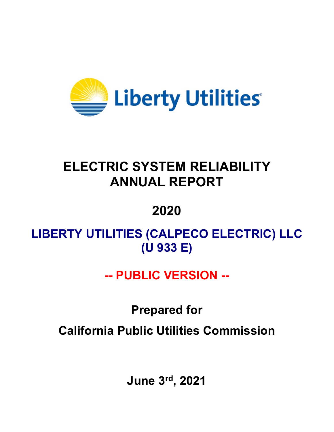

# **ELECTRIC SYSTEM RELIABILITY ANNUAL REPORT**

# **2020**

# **LIBERTY UTILITIES (CALPECO ELECTRIC) LLC (U 933 E)**

# **-- PUBLIC VERSION --**

# **Prepared for California Public Utilities Commission**

**June 3rd, 2021**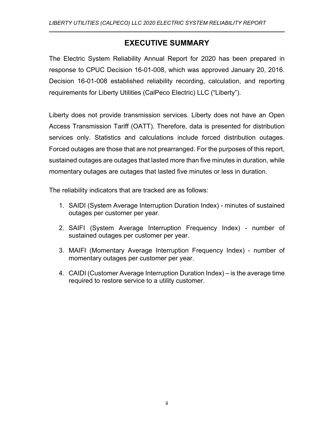## **EXECUTIVE SUMMARY**

The Electric System Reliability Annual Report for 2020 has been prepared in response to CPUC Decision 16-01-008, which was approved January 20, 2016. Decision 16-01-008 established reliability recording, calculation, and reporting requirements for Liberty Utilities (CalPeco Electric) LLC ("Liberty").

Liberty does not provide transmission services. Liberty does not have an Open Access Transmission Tariff (OATT). Therefore, data is presented for distribution services only. Statistics and calculations include forced distribution outages. Forced outages are those that are not prearranged. For the purposes of this report, sustained outages are outages that lasted more than five minutes in duration, while momentary outages are outages that lasted five minutes or less in duration.

The reliability indicators that are tracked are as follows:

- 1. SAIDI (System Average Interruption Duration Index) minutes of sustained outages per customer per year.
- 2. SAIFI (System Average Interruption Frequency Index) number of sustained outages per customer per year.
- 3. MAIFI (Momentary Average Interruption Frequency Index) number of momentary outages per customer per year.
- 4. CAIDI (Customer Average Interruption Duration Index) is the average time required to restore service to a utility customer.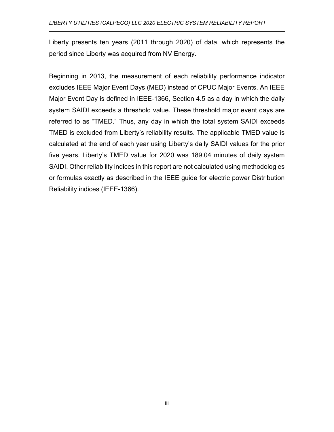Liberty presents ten years (2011 through 2020) of data, which represents the period since Liberty was acquired from NV Energy.

Beginning in 2013, the measurement of each reliability performance indicator excludes IEEE Major Event Days (MED) instead of CPUC Major Events. An IEEE Major Event Day is defined in IEEE-1366, Section 4.5 as a day in which the daily system SAIDI exceeds a threshold value. These threshold major event days are referred to as "TMED." Thus, any day in which the total system SAIDI exceeds TMED is excluded from Liberty's reliability results. The applicable TMED value is calculated at the end of each year using Liberty's daily SAIDI values for the prior five years. Liberty's TMED value for 2020 was 189.04 minutes of daily system SAIDI. Other reliability indices in this report are not calculated using methodologies or formulas exactly as described in the IEEE guide for electric power Distribution Reliability indices (IEEE-1366).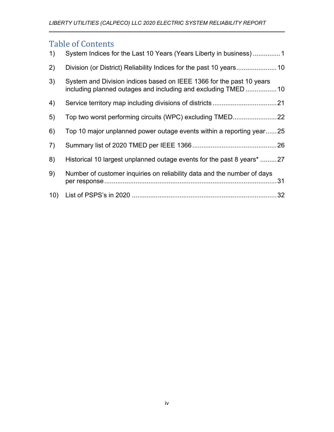# Table of Contents

| $\left( \begin{matrix} 1 \end{matrix} \right)$ | System Indices for the Last 10 Years (Years Liberty in business)1                                                                     |  |
|------------------------------------------------|---------------------------------------------------------------------------------------------------------------------------------------|--|
| 2)                                             |                                                                                                                                       |  |
| 3)                                             | System and Division indices based on IEEE 1366 for the past 10 years<br>including planned outages and including and excluding TMED 10 |  |
| 4)                                             |                                                                                                                                       |  |
| 5)                                             |                                                                                                                                       |  |
| 6)                                             | Top 10 major unplanned power outage events within a reporting year25                                                                  |  |
| 7)                                             |                                                                                                                                       |  |
| 8)                                             | Historical 10 largest unplanned outage events for the past 8 years* 27                                                                |  |
| 9)                                             | Number of customer inquiries on reliability data and the number of days                                                               |  |
|                                                |                                                                                                                                       |  |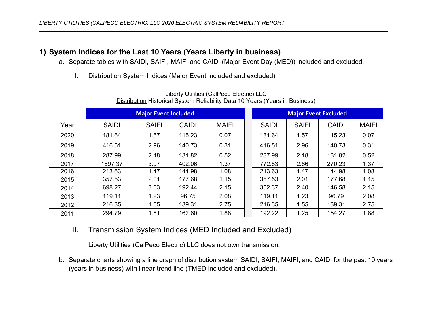# **1) System Indices for the Last 10 Years (Years Liberty in business)**

- a. Separate tables with SAIDI, SAIFI, MAIFI and CAIDI (Major Event Day (MED)) included and excluded.
	- I. Distribution System Indices (Major Event included and excluded)

<span id="page-4-0"></span>

|      | Liberty Utilities (CalPeco Electric) LLC<br>Distribution Historical System Reliability Data 10 Years (Years in Business) |                             |              |              |  |              |                             |              |              |  |  |  |
|------|--------------------------------------------------------------------------------------------------------------------------|-----------------------------|--------------|--------------|--|--------------|-----------------------------|--------------|--------------|--|--|--|
|      |                                                                                                                          | <b>Major Event Included</b> |              |              |  |              | <b>Major Event Excluded</b> |              |              |  |  |  |
| Year | <b>SAIDI</b>                                                                                                             | <b>SAIFI</b>                | <b>CAIDI</b> | <b>MAIFI</b> |  | <b>SAIDI</b> | <b>SAIFI</b>                | <b>CAIDI</b> | <b>MAIFI</b> |  |  |  |
| 2020 | 181.64                                                                                                                   | 1.57                        | 115.23       | 0.07         |  | 181.64       | 1.57                        | 115.23       | 0.07         |  |  |  |
| 2019 | 416.51                                                                                                                   | 2.96                        | 140.73       | 0.31         |  | 416.51       | 2.96                        | 140.73       | 0.31         |  |  |  |
| 2018 | 287.99                                                                                                                   | 2.18                        | 131.82       | 0.52         |  | 287.99       | 2.18                        | 131.82       | 0.52         |  |  |  |
| 2017 | 1597.37                                                                                                                  | 3.97                        | 402.06       | 1.37         |  | 772.83       | 2.86                        | 270.23       | 1.37         |  |  |  |
| 2016 | 213.63                                                                                                                   | 1.47                        | 144.98       | 1.08         |  | 213.63       | 1.47                        | 144.98       | 1.08         |  |  |  |
| 2015 | 357.53                                                                                                                   | 2.01                        | 177.68       | 1.15         |  | 357.53       | 2.01                        | 177.68       | 1.15         |  |  |  |
| 2014 | 698.27                                                                                                                   | 3.63                        | 192.44       | 2.15         |  | 352.37       | 2.40                        | 146.58       | 2.15         |  |  |  |
| 2013 | 119.11                                                                                                                   | 1.23                        | 96.75        | 2.08         |  | 119.11       | 1.23                        | 96.79        | 2.08         |  |  |  |
| 2012 | 216.35                                                                                                                   | 1.55                        | 139.31       | 2.75         |  | 216.35       | 1.55                        | 139.31       | 2.75         |  |  |  |
| 2011 | 294.79                                                                                                                   | 1.81                        | 162.60       | 1.88         |  | 192.22       | 1.25                        | 154.27       | 1.88         |  |  |  |

II. Transmission System Indices (MED Included and Excluded)

Liberty Utilities (CalPeco Electric) LLC does not own transmission.

b. Separate charts showing a line graph of distribution system SAIDI, SAIFI, MAIFI, and CAIDI for the past 10 years (years in business) with linear trend line (TMED included and excluded).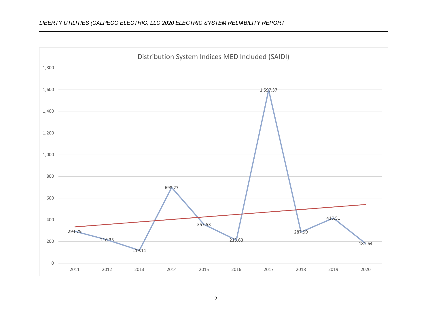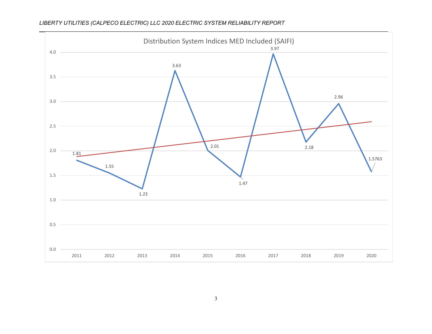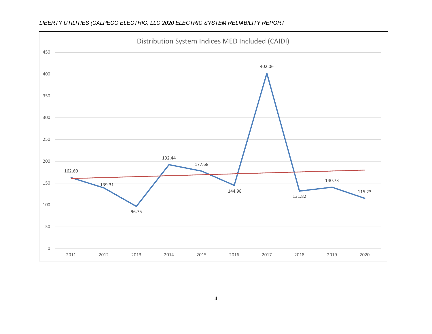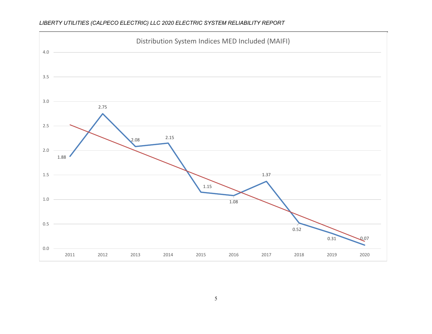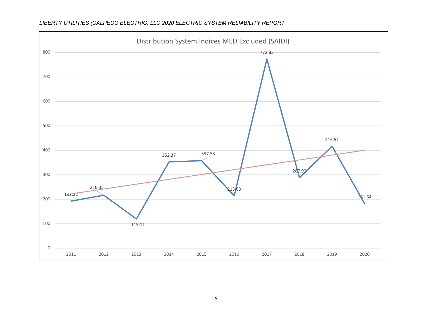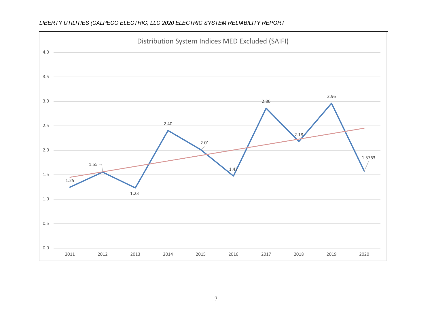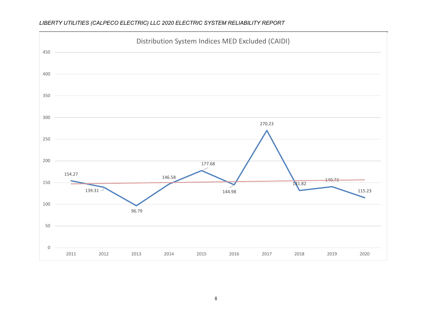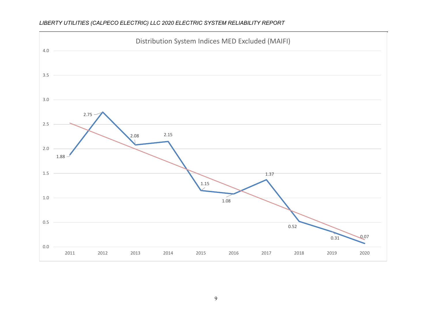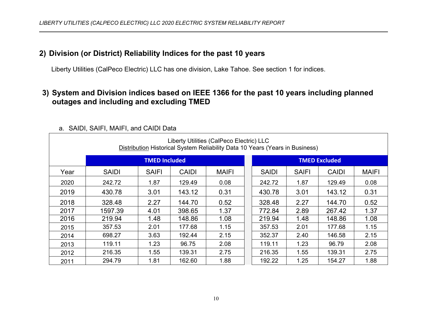### **2) Division (or District) Reliability Indices for the past 10 years**

Liberty Utilities (CalPeco Electric) LLC has one division, Lake Tahoe. See section 1 for indices.

### **3) System and Division indices based on IEEE 1366 for the past 10 years including planned outages and including and excluding TMED**

<span id="page-13-1"></span><span id="page-13-0"></span>

|      | Liberty Utilities (CalPeco Electric) LLC<br>Distribution Historical System Reliability Data 10 Years (Years in Business) |                      |              |              |  |                      |              |              |              |  |  |  |  |
|------|--------------------------------------------------------------------------------------------------------------------------|----------------------|--------------|--------------|--|----------------------|--------------|--------------|--------------|--|--|--|--|
|      |                                                                                                                          | <b>TMED Included</b> |              |              |  | <b>TMED Excluded</b> |              |              |              |  |  |  |  |
| Year | <b>SAIDI</b>                                                                                                             | <b>SAIFI</b>         | <b>CAIDI</b> | <b>MAIFI</b> |  | <b>SAIDI</b>         | <b>SAIFI</b> | <b>CAIDI</b> | <b>MAIFI</b> |  |  |  |  |
| 2020 | 242.72                                                                                                                   | 1.87                 | 129.49       | 0.08         |  | 242.72               | 1.87         | 129.49       | 0.08         |  |  |  |  |
| 2019 | 430.78                                                                                                                   | 3.01                 | 143.12       | 0.31         |  | 430.78               | 3.01         | 143.12       | 0.31         |  |  |  |  |
| 2018 | 328.48                                                                                                                   | 2.27                 | 144.70       | 0.52         |  | 328.48               | 2.27         | 144.70       | 0.52         |  |  |  |  |
| 2017 | 1597.39                                                                                                                  | 4.01                 | 398.65       | 1.37         |  | 772.84               | 2.89         | 267.42       | 1.37         |  |  |  |  |
| 2016 | 219.94                                                                                                                   | 1.48                 | 148.86       | 1.08         |  | 219.94               | 1.48         | 148.86       | 1.08         |  |  |  |  |
| 2015 | 357.53                                                                                                                   | 2.01                 | 177.68       | 1.15         |  | 357.53               | 2.01         | 177.68       | 1.15         |  |  |  |  |
| 2014 | 698.27                                                                                                                   | 3.63                 | 192.44       | 2.15         |  | 352.37               | 2.40         | 146.58       | 2.15         |  |  |  |  |
| 2013 | 119.11                                                                                                                   | 1.23                 | 96.75        | 2.08         |  | 119.11               | 1.23         | 96.79        | 2.08         |  |  |  |  |
| 2012 | 216.35                                                                                                                   | 1.55                 | 139.31       | 2.75         |  | 216.35               | 1.55         | 139.31       | 2.75         |  |  |  |  |
| 2011 | 294.79                                                                                                                   | 1.81                 | 162.60       | 1.88         |  | 192.22               | 1.25         | 154.27       | 1.88         |  |  |  |  |

#### a. SAIDI, SAIFI, MAIFI, and CAIDI Data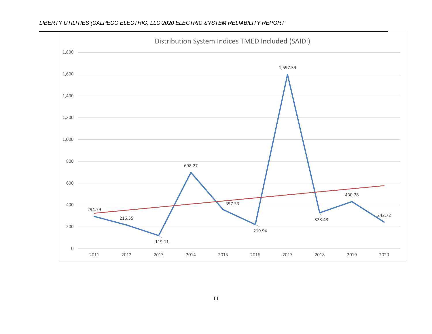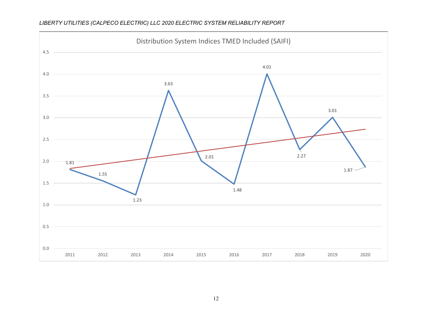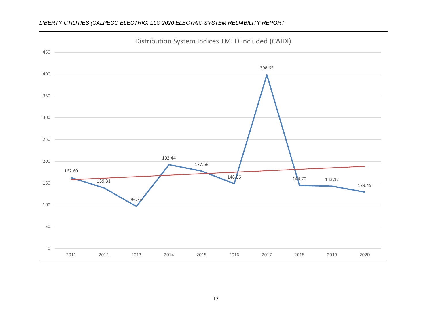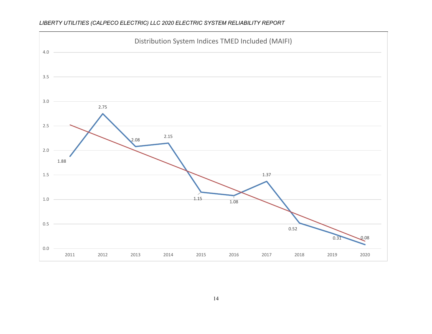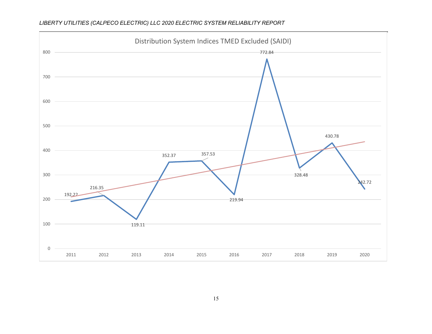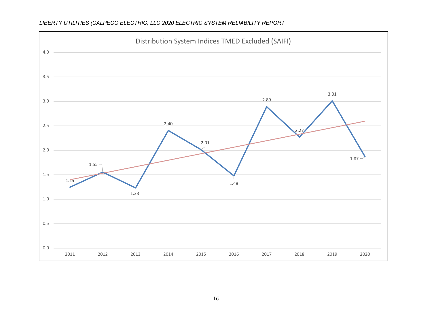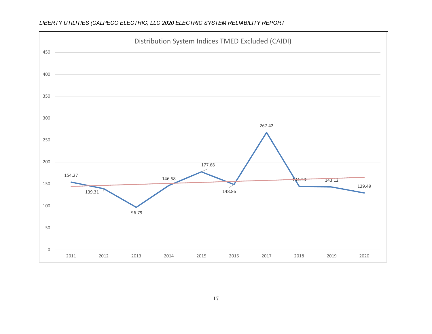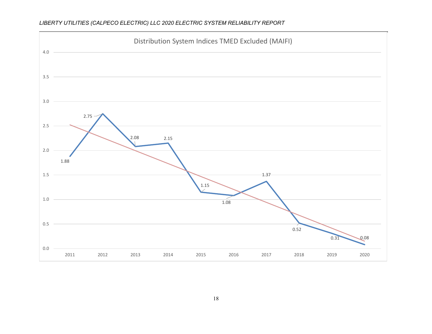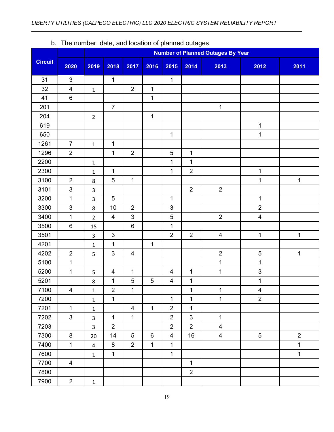|                |                         | <b>D.</b> The Hamber, aate, and location of planned batages<br><b>Number of Planned Outages By Year</b> |                         |                |                |                         |                |                |                         |                |  |  |
|----------------|-------------------------|---------------------------------------------------------------------------------------------------------|-------------------------|----------------|----------------|-------------------------|----------------|----------------|-------------------------|----------------|--|--|
| <b>Circuit</b> | 2020                    | 2019                                                                                                    | 2018                    | 2017           | 2016           | 2015                    | 2014           | 2013           | 2012                    | 2011           |  |  |
| 31             | $\mathfrak{S}$          |                                                                                                         | $\mathbf{1}$            |                |                | 1                       |                |                |                         |                |  |  |
| 32             | $\overline{\mathbf{4}}$ | $\mathbf 1$                                                                                             |                         | $\overline{2}$ | $\mathbf 1$    |                         |                |                |                         |                |  |  |
| 41             | $\,6\,$                 |                                                                                                         |                         |                | $\mathbf 1$    |                         |                |                |                         |                |  |  |
| 201            |                         |                                                                                                         | $\overline{7}$          |                |                |                         |                | $\mathbf{1}$   |                         |                |  |  |
| 204            |                         | $\overline{2}$                                                                                          |                         |                | 1              |                         |                |                |                         |                |  |  |
| 619            |                         |                                                                                                         |                         |                |                |                         |                |                | $\mathbf{1}$            |                |  |  |
| 650            |                         |                                                                                                         |                         |                |                | $\mathbf{1}$            |                |                | $\mathbf 1$             |                |  |  |
| 1261           | $\overline{7}$          | $\mathbf{1}$                                                                                            | $\mathbf{1}$            |                |                |                         |                |                |                         |                |  |  |
| 1296           | $\overline{2}$          |                                                                                                         | $\mathbf{1}$            | $\overline{2}$ |                | $\sqrt{5}$              | $\mathbf 1$    |                |                         |                |  |  |
| 2200           |                         | $\mathbf 1$                                                                                             |                         |                |                | $\mathbf{1}$            | $\mathbf{1}$   |                |                         |                |  |  |
| 2300           |                         | $\mathbf{1}$                                                                                            | $\mathbf{1}$            |                |                | 1                       | $\overline{2}$ |                | $\mathbf{1}$            |                |  |  |
| 3100           | $\overline{2}$          | $\,8\,$                                                                                                 | $\sqrt{5}$              | $\mathbf{1}$   |                |                         |                |                | $\mathbf{1}$            | $\mathbf{1}$   |  |  |
| 3101           | $\mathfrak{S}$          | 3                                                                                                       |                         |                |                |                         | $\overline{2}$ | $\overline{2}$ |                         |                |  |  |
| 3200           | $\mathbf 1$             | 3                                                                                                       | 5                       |                |                | 1                       |                |                | $\mathbf{1}$            |                |  |  |
| 3300           | $\mathfrak{S}$          | 8                                                                                                       | 10                      | $\overline{2}$ |                | $\mathfrak{B}$          |                |                | $\overline{2}$          |                |  |  |
| 3400           | $\mathbf{1}$            | $\overline{2}$                                                                                          | $\overline{\mathbf{4}}$ | $\mathfrak{S}$ |                | $\sqrt{5}$              |                | $\overline{2}$ | $\overline{\mathbf{4}}$ |                |  |  |
| 3500           | $\,6\,$                 | 15                                                                                                      |                         | $\,6$          |                | 1                       |                |                |                         |                |  |  |
| 3501           |                         | 3                                                                                                       | $\mathfrak{S}$          |                |                | $\overline{2}$          | $\overline{2}$ | $\overline{4}$ | $\mathbf{1}$            | $\mathbf{1}$   |  |  |
| 4201           |                         | $\mathbf 1$                                                                                             | $\mathbf 1$             |                | $\mathbf 1$    |                         |                |                |                         |                |  |  |
| 4202           | $\overline{2}$          | 5                                                                                                       | 3                       | 4              |                |                         |                | $\overline{2}$ | $\sqrt{5}$              | $\mathbf{1}$   |  |  |
| 5100           | $\mathbf{1}$            |                                                                                                         |                         |                |                |                         |                | $\mathbf{1}$   | $\mathbf 1$             |                |  |  |
| 5200           | $\mathbf{1}$            | 5                                                                                                       | $\overline{4}$          | $\mathbf{1}$   |                | $\overline{\mathbf{4}}$ | 1              | $\mathbf{1}$   | 3                       |                |  |  |
| 5201           |                         | $\bf 8$                                                                                                 | $\mathbf 1$             | 5              | $\sqrt{5}$     | $\overline{\mathbf{4}}$ | $\mathbf 1$    |                | $\mathbf 1$             |                |  |  |
| 7100           | $\overline{4}$          | 1                                                                                                       | $\sqrt{2}$              | $\mathbf{1}$   |                |                         | $\mathbf 1$    | $\mathbf 1$    | $\overline{\mathbf{4}}$ |                |  |  |
| 7200           |                         | $\mathbf{1}$                                                                                            | $\mathbf{1}$            |                |                | $\mathbf{1}$            | $\mathbf{1}$   | $\mathbf{1}$   | $\overline{2}$          |                |  |  |
| 7201           | $\mathbf{1}$            | $\mathbf{1}$                                                                                            |                         | $\overline{4}$ | $\mathbf{1}$   | $\overline{2}$          | $\mathbf 1$    |                |                         |                |  |  |
| 7202           | $\mathfrak{S}$          | 3                                                                                                       | $\mathbf{1}$            | $\mathbf 1$    |                | $\overline{2}$          | 3              | $\mathbf 1$    |                         |                |  |  |
| 7203           |                         | 3                                                                                                       | $\overline{2}$          |                |                | $\overline{2}$          | $\overline{2}$ | $\overline{4}$ |                         |                |  |  |
| 7300           | 8                       | 20                                                                                                      | 14                      | 5              | $6\phantom{1}$ | $\overline{4}$          | 16             | $\overline{4}$ | $\overline{5}$          | $\overline{2}$ |  |  |
| 7400           | $\mathbf{1}$            | $\overline{\mathbf{4}}$                                                                                 | 8                       | $\overline{2}$ | 1              | $\mathbf 1$             |                |                |                         | $\mathbf 1$    |  |  |
| 7600           |                         | $\mathbf 1$                                                                                             | $\mathbf{1}$            |                |                | $\mathbf{1}$            |                |                |                         | $\mathbf{1}$   |  |  |
| 7700           | $\overline{4}$          |                                                                                                         |                         |                |                |                         | $\mathbf{1}$   |                |                         |                |  |  |
| 7800           |                         |                                                                                                         |                         |                |                |                         | $\overline{2}$ |                |                         |                |  |  |
| 7900           | $\overline{2}$          | $\mathbf 1$                                                                                             |                         |                |                |                         |                |                |                         |                |  |  |

#### b. The number, date, and location of planned outages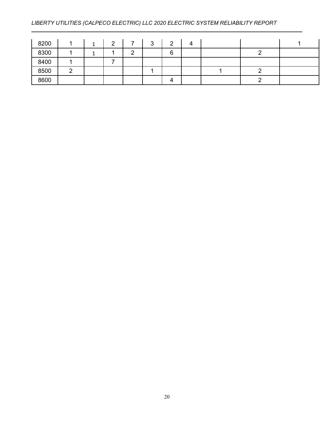| 8200 |  |   | 2<br>J | ົ | 4 |  |  |
|------|--|---|--------|---|---|--|--|
| 8300 |  | ◠ |        | 6 |   |  |  |
| 8400 |  |   |        |   |   |  |  |
| 8500 |  |   |        |   |   |  |  |
| 8600 |  |   |        | 4 |   |  |  |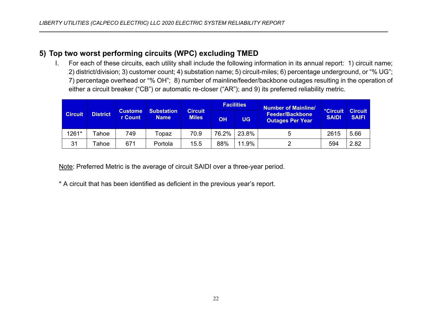## **5) Top two worst performing circuits (WPC) excluding TMED**

I. For each of these circuits, each utility shall include the following information in its annual report: 1) circuit name; 2) district/division; 3) customer count; 4) substation name; 5) circuit-miles; 6) percentage underground, or "% UG"; 7) percentage overhead or "% OH"; 8) number of mainline/feeder/backbone outages resulting in the operation of either a circuit breaker ("CB") or automatic re-closer ("AR"); and 9) its preferred reliability metric.

|                |                            |                           |                                  |                                |           | <b>Facilities</b> | <b>Number of Mainline/</b>                 |                          | <b>Circuit</b> |
|----------------|----------------------------|---------------------------|----------------------------------|--------------------------------|-----------|-------------------|--------------------------------------------|--------------------------|----------------|
| <b>Circuit</b> | <b>District</b>            | <b>Custome</b><br>r Count | <b>Substation</b><br><b>Name</b> | <b>Circuit</b><br><b>Miles</b> | <b>OH</b> | <b>UG</b>         | Feeder/Backbone<br><b>Outages Per Year</b> | *Circuit<br><b>SAIDI</b> |                |
| 1261*          | $\mathsf{r}_\mathsf{ahoe}$ | 749                       | Topaz                            | 70.9                           | 76.2%     | 23.8%             |                                            | 2615                     | 5.66           |
| 31             | Tahoe                      | 671                       | Portola                          | 15.5                           | 88%       | 11.9%             |                                            | 594                      | 2.82           |

<span id="page-24-0"></span>Note: Preferred Metric is the average of circuit SAIDI over a three-year period.

\* A circuit that has been identified as deficient in the previous year's report.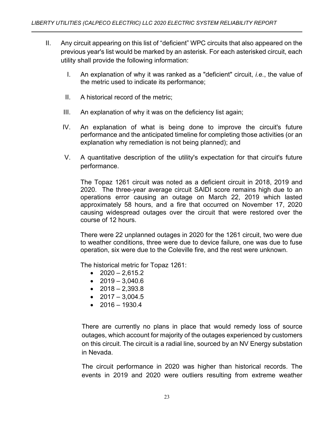- II. Any circuit appearing on this list of "deficient" WPC circuits that also appeared on the previous year's list would be marked by an asterisk. For each asterisked circuit, each utility shall provide the following information:
	- I. An explanation of why it was ranked as a "deficient" circuit, *i.e.*, the value of the metric used to indicate its performance;
	- II. A historical record of the metric;
	- III. An explanation of why it was on the deficiency list again;
	- IV. An explanation of what is being done to improve the circuit's future performance and the anticipated timeline for completing those activities (or an explanation why remediation is not being planned); and
	- V. A quantitative description of the utility's expectation for that circuit's future performance.

The Topaz 1261 circuit was noted as a deficient circuit in 2018, 2019 and 2020. The three-year average circuit SAIDI score remains high due to an operations error causing an outage on March 22, 2019 which lasted approximately 58 hours, and a fire that occurred on November 17, 2020 causing widespread outages over the circuit that were restored over the course of 12 hours.

There were 22 unplanned outages in 2020 for the 1261 circuit, two were due to weather conditions, three were due to device failure, one was due to fuse operation, six were due to the Coleville fire, and the rest were unknown.

The historical metric for Topaz 1261:

- $2020 2,615.2$
- $2019 3,040.6$
- $2018 2,393.8$
- $2017 3,004.5$
- $2016 1930.4$

There are currently no plans in place that would remedy loss of source outages, which account for majority of the outages experienced by customers on this circuit. The circuit is a radial line, sourced by an NV Energy substation in Nevada.

The circuit performance in 2020 was higher than historical records. The events in 2019 and 2020 were outliers resulting from extreme weather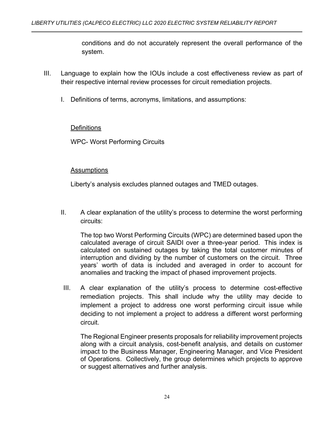conditions and do not accurately represent the overall performance of the system.

- III. Language to explain how the IOUs include a cost effectiveness review as part of their respective internal review processes for circuit remediation projects.
	- I. Definitions of terms, acronyms, limitations, and assumptions:

#### Definitions

WPC- Worst Performing Circuits

#### **Assumptions**

Liberty's analysis excludes planned outages and TMED outages.

II. A clear explanation of the utility's process to determine the worst performing circuits:

The top two Worst Performing Circuits (WPC) are determined based upon the calculated average of circuit SAIDI over a three-year period. This index is calculated on sustained outages by taking the total customer minutes of interruption and dividing by the number of customers on the circuit. Three years' worth of data is included and averaged in order to account for anomalies and tracking the impact of phased improvement projects.

III. A clear explanation of the utility's process to determine cost-effective remediation projects. This shall include why the utility may decide to implement a project to address one worst performing circuit issue while deciding to not implement a project to address a different worst performing circuit.

The Regional Engineer presents proposals for reliability improvement projects along with a circuit analysis, cost-benefit analysis, and details on customer impact to the Business Manager, Engineering Manager, and Vice President of Operations. Collectively, the group determines which projects to approve or suggest alternatives and further analysis.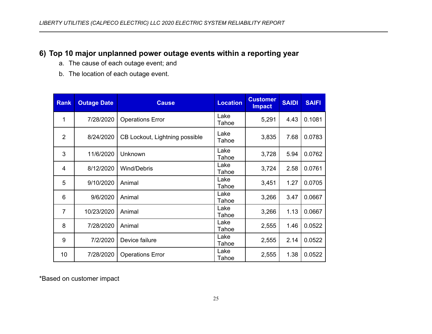# **6) Top 10 major unplanned power outage events within a reporting year**

- a. The cause of each outage event; and
- b. The location of each outage event.

<span id="page-27-0"></span>

| <b>Rank</b>    | <b>Outage Date</b> | <b>Cause</b>                   | <b>Location</b> | <b>Customer</b><br><b>Impact</b> | <b>SAIDI</b> | <b>SAIFI</b> |
|----------------|--------------------|--------------------------------|-----------------|----------------------------------|--------------|--------------|
| 1              | 7/28/2020          | <b>Operations Error</b>        | Lake<br>Tahoe   | 5,291                            | 4.43         | 0.1081       |
| $\overline{2}$ | 8/24/2020          | CB Lockout, Lightning possible | Lake<br>Tahoe   | 3,835                            | 7.68         | 0.0783       |
| 3              | 11/6/2020          | Unknown                        | Lake<br>Tahoe   | 3,728                            | 5.94         | 0.0762       |
| 4              | 8/12/2020          | <b>Wind/Debris</b>             | Lake<br>Tahoe   | 3,724                            | 2.58         | 0.0761       |
| 5              | 9/10/2020          | Animal                         | Lake<br>Tahoe   | 3,451                            | 1.27         | 0.0705       |
| 6              | 9/6/2020           | Animal                         | Lake<br>Tahoe   | 3,266                            | 3.47         | 0.0667       |
| $\overline{7}$ | 10/23/2020         | Animal                         | Lake<br>Tahoe   | 3,266                            | 1.13         | 0.0667       |
| 8              | 7/28/2020          | Animal                         | Lake<br>Tahoe   | 2,555                            | 1.46         | 0.0522       |
| 9              | 7/2/2020           | Device failure                 | Lake<br>Tahoe   | 2,555                            | 2.14         | 0.0522       |
| 10             | 7/28/2020          | <b>Operations Error</b>        | Lake<br>Tahoe   | 2,555                            | 1.38         | 0.0522       |

\*Based on customer impact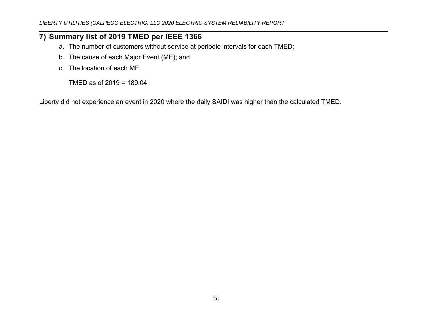## **7) Summary list of 2019 TMED per IEEE 1366**

- a. The number of customers without service at periodic intervals for each TMED;
- b. The cause of each Major Event (ME); and
- c. The location of each ME.

TMED as of 2019 = 189.04

<span id="page-28-0"></span>Liberty did not experience an event in 2020 where the daily SAIDI was higher than the calculated TMED.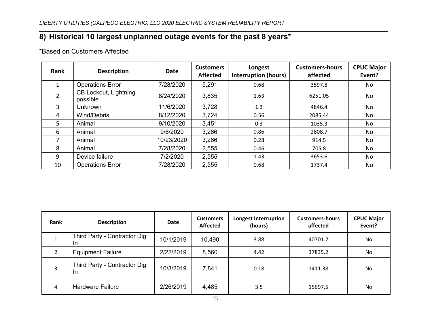# **8) Historical 10 largest unplanned outage events for the past 8 years\***

\*Based on Customers Affected

<span id="page-29-0"></span>

| Rank | <b>Description</b>                       | <b>Date</b> | <b>Customers</b><br><b>Affected</b> | Longest<br><b>Interruption (hours)</b> | <b>Customers-hours</b><br>affected | <b>CPUC Major</b><br>Event? |
|------|------------------------------------------|-------------|-------------------------------------|----------------------------------------|------------------------------------|-----------------------------|
| 1    | <b>Operations Error</b>                  | 7/28/2020   | 5,291                               | 0.68                                   | 3597.8                             | No                          |
| 2    | <b>CB Lockout, Lightning</b><br>possible | 8/24/2020   | 3,835                               | 1.63                                   | 6251.05                            | No                          |
| 3    | Unknown                                  | 11/6/2020   | 3,728                               | 1.3                                    | 4846.4                             | No                          |
| 4    | Wind/Debris                              | 8/12/2020   | 3,724                               | 0.56                                   | 2085.44                            | No                          |
| 5    | Animal                                   | 9/10/2020   | 3,451                               | 0.3                                    | 1035.3                             | No                          |
| 6    | Animal                                   | 9/6/2020    | 3,266                               | 0.86                                   | 2808.7                             | No                          |
|      | Animal                                   | 10/23/2020  | 3,266                               | 0.28                                   | 914.5                              | No                          |
| 8    | Animal                                   | 7/28/2020   | 2,555                               | 0.46                                   | 705.8                              | No                          |
| 9    | Device failure                           | 7/2/2020    | 2,555                               | 1.43                                   | 3653.6                             | No                          |
| 10   | <b>Operations Error</b>                  | 7/28/2020   | 2,555                               | 0.68                                   | 1737.4                             | No                          |

| Rank           | <b>Description</b>                        | <b>Date</b> | <b>Customers</b><br><b>Affected</b> | <b>Longest Interruption</b><br>(hours) | <b>Customers-hours</b><br>affected | <b>CPUC Major</b><br>Event? |
|----------------|-------------------------------------------|-------------|-------------------------------------|----------------------------------------|------------------------------------|-----------------------------|
|                | Third Party - Contractor Dig<br>In.       | 10/1/2019   | 10,490                              | 3.88                                   | 40701.2                            | No                          |
| C.             | <b>Equipment Failure</b>                  | 2/22/2019   | 8,560                               | 4.42                                   | 37835.2                            | No                          |
| 3              | Third Party - Contractor Dig<br><b>In</b> | 10/3/2019   | 7,841                               | 0.18                                   | 1411.38                            | No                          |
| $\overline{4}$ | <b>Hardware Failure</b>                   | 2/26/2019   | 4,485                               | 3.5                                    | 15697.5                            | No                          |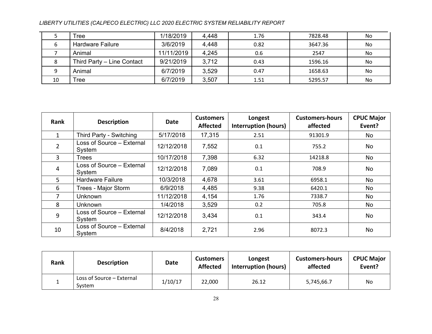|  |  |  | LIBERTY UTILITIES (CALPECO ELECTRIC) LLC 2020 ELECTRIC SYSTEM RELIABILITY REPORT |
|--|--|--|----------------------------------------------------------------------------------|
|--|--|--|----------------------------------------------------------------------------------|

|    | Tree                       | 1/18/2019  | 4,448 | 1.76 | 7828.48 | No  |
|----|----------------------------|------------|-------|------|---------|-----|
| ь  | <b>Hardware Failure</b>    | 3/6/2019   | 4,448 | 0.82 | 3647.36 | No  |
|    | Animal                     | 11/11/2019 | 4,245 | 0.6  | 2547    | No  |
|    | Third Party - Line Contact | 9/21/2019  | 3.712 | 0.43 | 1596.16 | No. |
| Q  | Animal                     | 6/7/2019   | 3,529 | 0.47 | 1658.63 | No  |
| 10 | Tree                       | 6/7/2019   | 3,507 | 1.51 | 5295.57 | No  |

| <b>Rank</b>    | <b>Description</b>                  | Date       | <b>Customers</b><br><b>Affected</b> | Longest<br><b>Interruption (hours)</b> | <b>Customers-hours</b><br>affected | <b>CPUC Major</b><br>Event? |
|----------------|-------------------------------------|------------|-------------------------------------|----------------------------------------|------------------------------------|-----------------------------|
| 1              | Third Party - Switching             | 5/17/2018  | 17,315                              | 2.51                                   | 91301.9                            | No                          |
| $\overline{2}$ | Loss of Source – External<br>System | 12/12/2018 | 7,552                               | 0.1                                    | 755.2                              | No                          |
| 3              | <b>Trees</b>                        | 10/17/2018 | 7,398                               | 6.32                                   | 14218.8                            | No                          |
| 4              | Loss of Source - External<br>System | 12/12/2018 | 7,089                               | 0.1                                    | 708.9                              | No                          |
| 5              | <b>Hardware Failure</b>             | 10/3/2018  | 4,678                               | 3.61                                   | 6958.1                             | No                          |
| 6              | Trees - Major Storm                 | 6/9/2018   | 4,485                               | 9.38                                   | 6420.1                             | No                          |
| 7              | Unknown                             | 11/12/2018 | 4,154                               | 1.76                                   | 7338.7                             | No                          |
| 8              | <b>Unknown</b>                      | 1/4/2018   | 3,529                               | 0.2                                    | 705.8                              | No                          |
| 9              | Loss of Source - External<br>System | 12/12/2018 | 3,434                               | 0.1                                    | 343.4                              | No                          |
| 10             | Loss of Source - External<br>System | 8/4/2018   | 2,721                               | 2.96                                   | 8072.3                             | No                          |

| <b>Rank</b> | <b>Description</b>                  | Date    | <b>Customers</b><br><b>Affected</b> | Longest<br><b>Interruption (hours)</b> | <b>Customers-hours</b><br>affected | <b>CPUC Major</b><br>Event? |
|-------------|-------------------------------------|---------|-------------------------------------|----------------------------------------|------------------------------------|-----------------------------|
|             | Loss of Source - External<br>Svstem | 1/10/17 | 22,000                              | 26.12                                  | 5,745,66.7                         | No                          |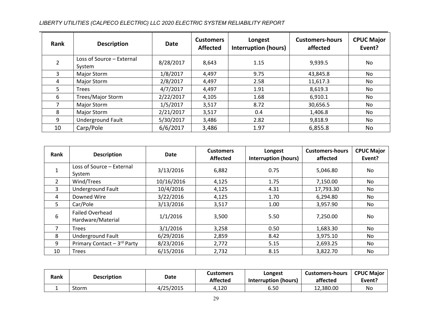| Rank           | <b>Description</b>                  | <b>Date</b> | <b>Customers</b><br><b>Affected</b> | Longest<br><b>Interruption (hours)</b> | <b>Customers-hours</b><br>affected | <b>CPUC Major</b><br>Event? |
|----------------|-------------------------------------|-------------|-------------------------------------|----------------------------------------|------------------------------------|-----------------------------|
| $\overline{2}$ | Loss of Source - External<br>System | 8/28/2017   | 8,643                               | 1.15                                   | 9,939.5                            | No                          |
| 3              | Major Storm                         | 1/8/2017    | 4,497                               | 9.75                                   | 43,845.8                           | No                          |
| 4              | Major Storm                         | 2/8/2017    | 4,497                               | 2.58                                   | 11,617.3                           | No                          |
| 5              | <b>Trees</b>                        | 4/7/2017    | 4,497                               | 1.91                                   | 8,619.3                            | No                          |
| 6              | Trees/Major Storm                   | 2/22/2017   | 4,105                               | 1.68                                   | 6,910.1                            | No                          |
|                | Major Storm                         | 1/5/2017    | 3,517                               | 8.72                                   | 30,656.5                           | No                          |
| 8              | Major Storm                         | 2/21/2017   | 3,517                               | 0.4                                    | 1,406.8                            | No                          |
| 9              | <b>Underground Fault</b>            | 5/30/2017   | 3,486                               | 2.82                                   | 9,818.9                            | No                          |
| 10             | Carp/Pole                           | 6/6/2017    | 3,486                               | 1.97                                   | 6,855.8                            | No                          |

| Rank           | <b>Description</b>                          | Date       | <b>Customers</b><br><b>Affected</b> | Longest<br><b>Interruption (hours)</b> | <b>Customers-hours</b><br>affected | <b>CPUC Major</b><br>Event? |
|----------------|---------------------------------------------|------------|-------------------------------------|----------------------------------------|------------------------------------|-----------------------------|
| 1              | Loss of Source - External<br>System         | 3/13/2016  | 6,882                               | 0.75                                   | 5,046.80                           | No                          |
| $\overline{2}$ | Wind/Trees                                  | 10/16/2016 | 4,125                               | 1.75                                   | 7,150.00                           | No                          |
| 3              | <b>Underground Fault</b>                    | 10/4/2016  | 4,125                               | 4.31                                   | 17,793.30                          | No                          |
| 4              | Downed Wire                                 | 3/22/2016  | 4,125                               | 1.70                                   | 6,294.80                           | No                          |
| 5              | Car/Pole                                    | 3/13/2016  | 3,517                               | 1.00                                   | 3,957.90                           | No                          |
| 6              | <b>Failed Overhead</b><br>Hardware/Material | 1/1/2016   | 3,500                               | 5.50                                   | 7,250.00                           | No.                         |
| 7              | <b>Trees</b>                                | 3/1/2016   | 3,258                               | 0.50                                   | 1,683.30                           | No.                         |
| 8              | <b>Underground Fault</b>                    | 6/29/2016  | 2,859                               | 8.42                                   | 3,975.10                           | No                          |
| 9              | Primary Contact - 3rd Party                 | 8/23/2016  | 2,772                               | 5.15                                   | 2,693.25                           | No.                         |
| 10             | Trees                                       | 6/15/2016  | 2,732                               | 8.15                                   | 3,822.70                           | No.                         |

| Rank | <b>Description</b> | Date      | Customers<br><b>Affected</b> | Longest<br><b>Interruption (hours)</b> | <b>Customers-hours</b><br>affected | <b>CPUC Maior</b><br>Event? |
|------|--------------------|-----------|------------------------------|----------------------------------------|------------------------------------|-----------------------------|
|      | Storm              | 4/25/2015 | 4,120                        | ô.50                                   | 12.380.00                          | No                          |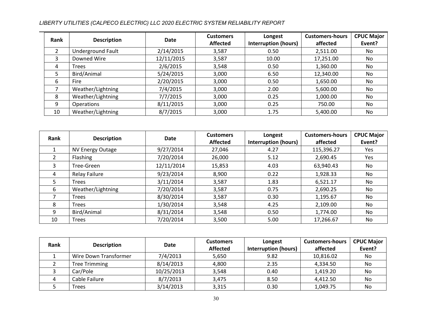| LIBERTY UTILITIES (CALPECO ELECTRIC) LLC 2020 ELECTRIC SYSTEM RELIABILITY REPORT |  |
|----------------------------------------------------------------------------------|--|
|----------------------------------------------------------------------------------|--|

| Rank | <b>Description</b> | <b>Date</b> | <b>Customers</b><br><b>Affected</b> | Longest<br><b>Interruption (hours)</b> | <b>Customers-hours</b><br>affected | <b>CPUC Major</b><br>Event? |
|------|--------------------|-------------|-------------------------------------|----------------------------------------|------------------------------------|-----------------------------|
| າ    | Underground Fault  | 2/14/2015   | 3,587                               | 0.50                                   | 2,511.00                           | No                          |
| 3    | Downed Wire        | 12/11/2015  | 3,587                               | 10.00                                  | 17,251.00                          | No                          |
| 4    | <b>Trees</b>       | 2/6/2015    | 3,548                               | 0.50                                   | 1,360.00                           | No                          |
| 5    | Bird/Animal        | 5/24/2015   | 3,000                               | 6.50                                   | 12,340.00                          | No                          |
| 6    | <b>Fire</b>        | 2/20/2015   | 3,000                               | 0.50                                   | 1,650.00                           | No                          |
|      | Weather/Lightning  | 7/4/2015    | 3,000                               | 2.00                                   | 5,600.00                           | No                          |
| 8    | Weather/Lightning  | 7/7/2015    | 3,000                               | 0.25                                   | 1,000.00                           | No                          |
| 9    | Operations         | 8/11/2015   | 3,000                               | 0.25                                   | 750.00                             | No                          |
| 10   | Weather/Lightning  | 8/7/2015    | 3,000                               | 1.75                                   | 5,400.00                           | No                          |

| Rank | <b>Description</b>      | Date       | <b>Customers</b><br><b>Affected</b> | Longest<br><b>Interruption (hours)</b> | <b>Customers-hours</b><br>affected | <b>CPUC Major</b><br>Event? |
|------|-------------------------|------------|-------------------------------------|----------------------------------------|------------------------------------|-----------------------------|
|      | <b>NV Energy Outage</b> | 9/27/2014  | 27,046                              | 4.27                                   | 115,396.27                         | <b>Yes</b>                  |
|      | Flashing                | 7/20/2014  | 26,000                              | 5.12                                   | 2,690.45                           | Yes                         |
| 3    | Tree-Green              | 12/11/2014 | 15,853                              | 4.03                                   | 63,940.43                          | No                          |
| 4    | Relay Failure           | 9/23/2014  | 8,900                               | 0.22                                   | 1,928.33                           | No                          |
| 5.   | <b>Trees</b>            | 3/11/2014  | 3,587                               | 1.83                                   | 6,521.17                           | No                          |
| 6    | Weather/Lightning       | 7/20/2014  | 3,587                               | 0.75                                   | 2,690.25                           | No                          |
|      | <b>Trees</b>            | 8/30/2014  | 3,587                               | 0.30                                   | 1,195.67                           | No                          |
| 8    | Trees                   | 1/30/2014  | 3,548                               | 4.25                                   | 2,109.00                           | No                          |
| 9    | Bird/Animal             | 8/31/2014  | 3,548                               | 0.50                                   | 1,774.00                           | No                          |
| 10   | <b>Trees</b>            | 7/20/2014  | 3,500                               | 5.00                                   | 17,266.67                          | No                          |

| Rank |                       | Date       | <b>Customers</b> | Longest                     | <b>Customers-hours</b> | <b>CPUC Major</b> |
|------|-----------------------|------------|------------------|-----------------------------|------------------------|-------------------|
|      | <b>Description</b>    |            | <b>Affected</b>  | <b>Interruption (hours)</b> | affected               | Event?            |
|      | Wire Down Transformer | 7/4/2013   | 5.650            | 9.82                        | 10,816.02              | No                |
|      | Tree Trimming         | 8/14/2013  | 4,800            | 2.35                        | 4,334.50               | No                |
|      | Car/Pole              | 10/25/2013 | 3,548            | 0.40                        | 1,419.20               | No                |
|      | Cable Failure         | 8/7/2013   | 3.475            | 8.50                        | 4.412.50               | No                |
|      | Trees                 | 3/14/2013  | 3,315            | 0.30                        | 1,049.75               | No                |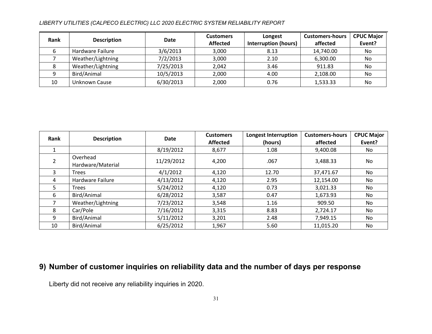| LIBERTY UTILITIES (CALPECO ELECTRIC) LLC 2020 ELECTRIC SYSTEM RELIABILITY REPORT |
|----------------------------------------------------------------------------------|
|----------------------------------------------------------------------------------|

| Rank | <b>Description</b> | Date      | <b>Customers</b><br><b>Affected</b> | Longest<br><b>Interruption (hours)</b> | <b>Customers-hours</b><br>affected | <b>CPUC Major</b><br>Event? |
|------|--------------------|-----------|-------------------------------------|----------------------------------------|------------------------------------|-----------------------------|
| b    | Hardware Failure   | 3/6/2013  | 3,000                               | 8.13                                   | 14,740.00                          | No                          |
|      | Weather/Lightning  | 7/2/2013  | 3,000                               | 2.10                                   | 6,300.00                           | No                          |
| 8    | Weather/Lightning  | 7/25/2013 | 2,042                               | 3.46                                   | 911.83                             | No                          |
|      | Bird/Animal        | 10/5/2013 | 2,000                               | 4.00                                   | 2,108.00                           | No                          |
| 10   | Unknown Cause      | 6/30/2013 | 2,000                               | 0.76                                   | 1,533.33                           | No                          |

| Rank | <b>Description</b>            | Date       | <b>Customers</b><br><b>Affected</b> | <b>Longest Interruption</b><br>(hours) | <b>Customers-hours</b><br>affected | <b>CPUC Major</b><br>Event? |
|------|-------------------------------|------------|-------------------------------------|----------------------------------------|------------------------------------|-----------------------------|
|      |                               | 8/19/2012  | 8,677                               | 1.08                                   | 9,400.08                           | No                          |
| 2    | Overhead<br>Hardware/Material | 11/29/2012 | 4,200                               | .067                                   | 3,488.33                           | No                          |
| 3    | <b>Trees</b>                  | 4/1/2012   | 4,120                               | 12.70                                  | 37,471.67                          | No                          |
| 4    | Hardware Failure              | 4/13/2012  | 4,120                               | 2.95                                   | 12,154.00                          | No                          |
| 5.   | <b>Trees</b>                  | 5/24/2012  | 4,120                               | 0.73                                   | 3,021.33                           | No                          |
| 6    | Bird/Animal                   | 6/28/2012  | 3,587                               | 0.47                                   | 1,673.93                           | No                          |
|      | Weather/Lightning             | 7/23/2012  | 3,548                               | 1.16                                   | 909.50                             | No.                         |
| 8    | Car/Pole                      | 7/16/2012  | 3,315                               | 8.83                                   | 2,724.17                           | No                          |
| 9    | Bird/Animal                   | 5/11/2012  | 3,201                               | 2.48                                   | 7,949.15                           | No                          |
| 10   | Bird/Animal                   | 6/25/2012  | 1,967                               | 5.60                                   | 11,015.20                          | No.                         |

# **9) Number of customer inquiries on reliability data and the number of days per response**

<span id="page-33-0"></span>Liberty did not receive any reliability inquiries in 2020.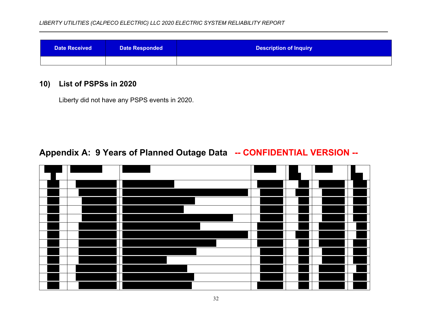| Date Received | <b>Date Responded</b> | <b>Description of Inquiry</b> |
|---------------|-----------------------|-------------------------------|
|               |                       |                               |

# **10) List of PSPSs in 2020**

Liberty did not have any PSPS events in 2020.

# **Appendix A: 9 Years of Planned Outage Data -- CONFIDENTIAL VERSION --**

<span id="page-34-0"></span>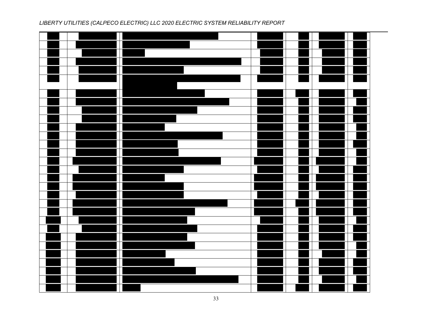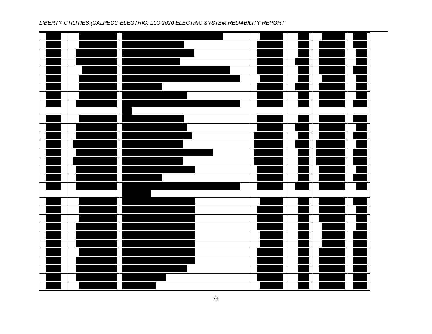5/3/2013 15:20 Tahoe City Sub: Cutouts @ pole # 242154 5/7/2013 8:00 5/7/2013 15:00 5/14/2013 9:16 3400 Meyers 14.4kV Line 5/15/2013 8:00 5/18/2013 15:00 5/16/2013 13:42 Northstar Sub: OSI 164 & 161 5/20/2013 8:30 5/21/2013 0:00 5/16/2013 15:47 Tahoe City Sub: VFI 120 5/20/2013 19:00 5/21/2013 0:00 2/6/2013 8:30 4200 INCLINE 14.4Kv LINE, 5100 BROCKWAY 5/21/2013 7:00 5/21/2013 16:00 5/30/2013 8:39 3101 STATELINE, and 2300 Stateline 14.4kV Line 6/3/2013 0:01 6/3/2013 6:00 7/17/2013 8:45 3101 STATELINE 7/17/2013 15:00 7/18/2013 0:00 7/15/2013 8:33 3501 Stateline 14.5kV Line 7/19/2013 0:00 7/19/2013 0:00 9/10/2013 13:07 7202 Truckee REPLACE POLES - UNDERBUILD OF 9/16/2013 7:00 9/20/2013 15:00 9/24/2013 8:17 3400 Meyers 14.4kV Line 9/26/2013 8:30 9/26/2013 15:00 9/30/2013 10:41 3501 Stateline 14.5kV Line 10/1/2013 22:00 10/2/2013 0:00 10/11/2013 8:31 Tahoe City Sub: 7334TI M.O. 10/29/2013 7:00 11/1/2013 10:00 10/24/2013 15:10 Tahoe City Sub: `VFI 120` 10/30/2013 22:00 10/31/2013 0:00 6/17/2013 15:40 Brockway Sub: Jumpers @ P#269433 11/12/2013 8:00 11/12/2013 16:30 11/22/2013 10:36 201 LINE FLEISH - FARAD 11/25/2013 7:30 11/25/2013 15:30 3/10/2014 10:49 7300 TAHOE CITY 14.4Kv LINE 3/24/2014 7:00 3/28/2014 0:00 5/20/2014 15:30 3101 STATELINE 5/22/2014 8:30 5/22/2014 15:00 6/17/2014 19:49 7100 TAHOE CITY 14.4Kv LINE, 7200 TAHOE CITY 6/19/2014 19:30 6/20/2014 7:00 7/3/2014 13:03 7300 TAHOE CITY 14.4Kv LINE 7/9/2014 8:00 8/20/2014 17:00 7/10/2014 9:58 7300 TAHOE CITY 14.4Kv LINE 7/15/2014 7:00 7/16/2014 0:00 7/14/2014 8:40 7300 TAHOE CITY 14.4Kv LINE 7/17/2014 7:00 7/18/2014 0:00 7/24/2014 11:56 7300 TAHOE CITY 14.4Kv LINE 7/29/2014 7:00 8/4/2014 0:00 7/29/2014 15:22 7300 TAHOE CITY 14.4Kv LINE 8/5/2014 7:00 8/5/2014 16:00 7/29/2014 10:09 7300 TAHOE CITY 14.4Kv LINE 8/6/2014 8:00 8/6/2014 18:00 8/14/2014 6:07 7300 TAHOE CITY 14.4Kv LINE 8/18/2014 7:00 8/18/2014 17:00 8/15/2014 13:47 7300 TAHOE CITY 14.4Kv LINE 8/20/2014 7:00 8/20/2014 17:00 8/18/2014 11:20 3501 Stateline 14.5kV Line 8/21/2014 8:00 8/21/2014 17:30 8/28/2014 11:52 7203 line Truckee 8/31/2014 7:00 9/27/2014 16:00 9/5/2014 13:20 7202 Truckee 9/9/2014 6:00 9/23/2014 17:00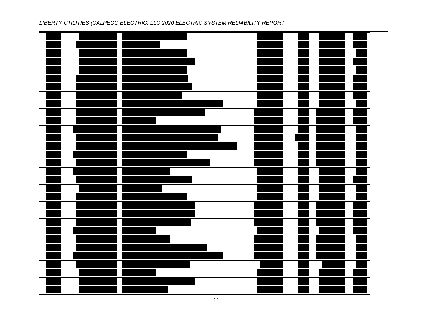9/8/2014 10:47 1296 MULLER 12.5kV LINE 9/10/2014 9:00 9/10/2014 15:00 9/17/2014 16:05 `7700 HOBART` 9/18/2014 7:00 9/19/2014 12:00 9/17/2014 9:37 3501 Stateline 14.5kV Line 9/19/2014 0:00 9/19/2014 0:00 9/16/2014 7:43 7200 TAHOE CITY 14.4Kv LINE 9/22/2014 6:30 9/24/2014 16:30 9/22/2014 9:37 2300 Stateline 14.4kV Line 9/26/2014 0:00 9/26/2014 0:00 9/22/2014 11:49 Squaw Valley Sub: 7201 R1 10/3/2014 8:00 10/3/2014 12:00 9/30/2014 18:53 Squaw Valley Sub: 8200 OCB 10/6/2014 8:00 10/9/2014 17:00 9/30/2014 18:11 Squaw Valley Sub: OS 78 10/6/2014 8:00 11/1/2014 16:00 9/30/2014 17:30 Tahoe City Sub: Cutouts @ pole # 137746 10/7/2014 8:00 10/8/2014 0:00 9/24/2014 13:50 8200 SQUAW VALLEY 14.4Kv LINE 10/14/2014 6:00 10/16/2014 16:00 10/8/2014 13:04 7203 Truckee 10/20/2014 6:00 10/21/2014 16:00 10/14/2014 14:17 Tahoe City Sub: Coutouts @ pole#68594 10/20/2014 8:00 11/17/2014 0:00 10/17/2014 7:18 Brockway Sub: switch @ pole # 161150 10/23/2014 22:00 10/24/2014 0:00 10/24/2014 6:02 Tahoe City Sub: 5201-14A cutouts @ P#140177 10/28/2014 8:00 10/29/2014 0:00 10/27/2014 10:57 2200 Stateline 14.4kV Line 10/30/2014 5:30 10/30/2014 8:00 10/24/2014 6:08 Tahoe City Sub: Cutouts @ P#92187 10/30/2014 8:00 10/31/2014 0:00 10/29/2014 13:41 Farad Sub: 7800 R1 11/3/2014 8:00 12/1/2014 1:00 9/30/2014 18:57 Squaw Valley Sub: 8200 OCB 11/6/2014 8:00 11/6/2014 17:00 11/4/2014 9:56 3101 STATELINE 11/6/2014 8:30 11/7/2014 0:00 11/4/2014 10:00 2300 Stateline 14.4kV Line 11/7/2014 0:00 11/7/2014 0:00 11/3/2014 14:03 7300 TAHOE CITY 14.4Kv LINE 11/12/2014 7:00 11/12/2014 16:00 11/5/2014 10:29 7300 TAHOE CITY 14.4Kv LINE 11/12/2014 8:00 11/12/2014 18:00 11/12/2014 8:27 7202 Truckee, 7203 Truckee 11/14/2014 8:00 12/31/2014 13:00 11/20/2014 10:10 7202 Truckee 12/3/2014 8:00 12/3/2014 17:00 12/5/2014 10:02 Farad Sub: 7800 R1 12/14/2014 8:00 12/21/2014 3:00 12/14/2014 9:23 Tahoe City Sub: 73-74 MO & 73-87 12/17/2014 8:00 12/19/2014 3:00 12/22/2014 12:40 Tahoe City Sub: Cutouts @ pole # 134488 12/29/2014 9:00 12/30/2014 1:00 11/19/2014 9:00 Brockway Sub: 52-3 cutouts 1/4/2015 8:00 1/5/2015 3:00 1/23/2015 8:52 7202 Truckee 1/26/2015 6:00 1/30/2015 16:00 1/14/2015 9:02 5201 TAHOE CITY 14.4Kv LINE 1/26/2015 8:00 1/26/2015 12:00 1/14/2015 9:34 7600 o/o glenshire 1/26/2015 8:00 2/26/2015 16:00

*LIBERTY UTILITIES (CALPECO ELECTRIC) LLC 2020 ELECTRIC SYSTEM RELIABILITY REPORT*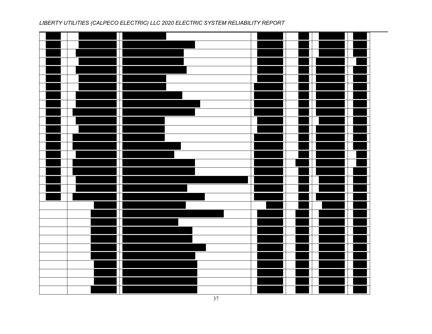9/4/2015 10:23 8600 NORTHSTAR 9/14/2015 7:00 9/14/2015 16:00 9/3/2015 12:23 7300 TAHOE CITY 14.4Kv LINE 9/16/2015 8:00 9/16/2015 16:00 9/21/2015 10:18 3400 Meyers 14.4kV Line 9/23/2015 8:30 9/30/2015 13:30 8/31/2015 9:51 3500 Meyers 14.5kV Line 9/28/2015 9:00 10/16/2015 5:30 9/28/2015 14:35 1296 MULLER 12.5kV LINE 9/30/2015 8:30 10/30/2015 17:00 10/5/2015 9:39 8600 NORTHSTAR 10/7/2015 8:00 10/18/2015 17:00 10/7/2015 7:53 8600 NORTHSTAR 10/11/2015 8:00 10/16/2015 17:00 10/11/2015 5:55 Squaw Valley Sub: OS 77 10/13/2015 8:00 10/15/2015 17:00 9/24/2015 10:49 8300 fed 8200 o/o squaw valley 10/15/2015 8:00 10/15/2015 16:00 10/22/2015 16:36 5201 TAHOE CITY 14.4Kv LINE 10/25/2015 9:00 10/25/2015 15:00 11/3/2015 14:05 5200 BROCKWAY 11/5/2015 7:00 12/5/2015 17:00 11/5/2015 5:29 5200 BROCKWAY 11/9/2015 8:00 11/13/2015 17:00 11/10/2015 12:49 5200 BROCKWAY 11/13/2015 7:00 11/13/2015 17:00 11/17/2015 12:04 `8300 o/o squaw valley` 11/19/2015 7:00 11/19/2015 17:00 11/16/2015 7:53 Meyers Sub: 3400 CB 11/19/2015 9:00 11/30/2015 0:00 12/10/2015 14:28 7200 TAHOE CITY 14.4Kv LINE 12/10/2015 17:00 12/11/2015 1:00 12/10/2015 14:17 7300 TAHOE CITY 14.4Kv LINE 12/14/2015 7:00 12/17/2015 17:00 12/14/2015 8:30 3300 Meyers 14.5kV Line, 3500 Meyers 14.5kV Line 12/15/2015 9:00 1/29/2016 15:30 12/15/2015 9:16 2300 Stateline 14.4kV Line 12/16/2015 9:00 1/29/2016 15:30 12/22/2015 12:02 8200 SQUAW VALLEY 14.4Kv LINE 12/23/2015 8:00 12/23/2015 16:00 1/4/2016 BKY 4202 Replacing XFMR 1/7/16 9:00 1/7/2016 16:00 2/11/2016 Glenshire – Replace XFMR, Re-frame pole 2/16/2016 10:00 2/16/2016 16:00 2/19/2016 Verdi Re-framing poles 2/24/2016 08:00 2/24/2016 16:00 2/19/2016 Tahoma replacing secondary 2/24/2016 08:00 2/24/2016 16:00 2/22/2016 Rubicon replacing secondary 2/26/2016 08:00 2/26/2016 16:00 4/14/2016 Carnelian Bay replacing secondary 4/19/2016 09:00 4/19/2016 15:00 4/15/2016 Lakeview replacing secondary 4/20/2016 09:00 4/20/2016 15:00 5/4/2016 Cedar Flat replacing secondary 5/10/2016 08:00 5/10/2016 16:00 5/4/2016 Cedar Flat replacing secondary 5/11/2016 08:00 5/11/2016 16:00 5/4/2016 Cedar Flat replacing secondary 5/12/2016 08:00 5/12/2016 16:00 6/17/2016 Cedar Flat replacing secondary 6/23/2016 08:00 6/23/2016 16:00

*LIBERTY UTILITIES (CALPECO ELECTRIC) LLC 2020 ELECTRIC SYSTEM RELIABILITY REPORT*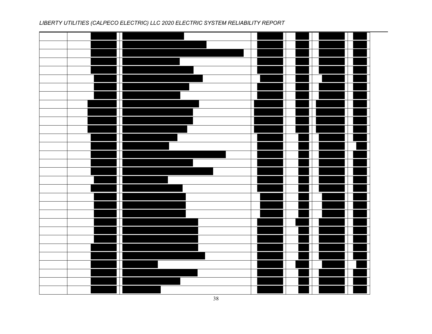

38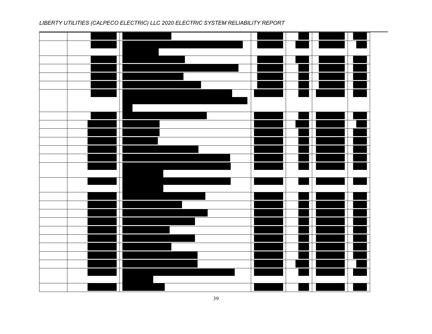10/3/2017 REPAIR SECONDARY 10/4/2017 8:00 10/4/2017 17:00 10/2/2017 CHANGE OUT PADMOUNT XFMR AND NEW WIRE 10/4/2017 20:00 10/5/2017 7:00 10/3/2017 CHANGE OUT GRAY WIRE 10/5/2017 10:00 10/5/2017 17:00 10/4/2017 CHANGE OUT PADMOUNT XFMR, REPLACE PAD 10/6/2017 9:00 10/6/2017 17:00 10/5/2017 REPLACE PAD AND XFMR 10/9/2017 9:00 10/9/2017 16:00 10/5/2017 CHANGE OUT LIVE FRONT XFMR 10/9/2017 8:00 10/9/2017 16:00 10/5/2017 REPLACE VAULT, 3 NEW PADMOUNT XFMRS, REBUILD PRIMARY RISER, RUN 3 NEW RUNS OF 1/0 10/10/2017 8:00 10/10/2017 18:00 10/5/2017 REPLACE TRANSFORMER AND PAD 10/11/2017 8:30 10/11/2017 16:00 10/10/2017 REPLACE XFMR 10/13/2017 12:00 10/13/2017 8:00 10/10/2017 REPLACE XFMR 10/13/2017 9:00 10/13/2017 16:00 10/16/2017 REPLACE POLE 10/18/2017 9:00 10/18/2017 14:45 10/17/2017 RECONDUCTOR REPLACEMENT 10/20/2017 8:00 10/20/2017 17:00 10/20/2017 REPLACE P 90826 - BROKEN IN STORM DMG 10/24/2017 9:00 10/24/2017 17:00 10/24/2017 CHANGE OUT POLES DUE TO WINTER DMG - 10/26/2017 9:00 10/26/2017 18:00 10/24/2017 CHANGE OUT POLES DUE TO WINTER DMG - 10/27/2017 9:00 10/27/2017 18:00 10/26/2017 REPLACE SWITCH AND U/G CABLE 10/30/2017 8:00 10/30/2017 17:00 10/26/2017 REMOVE HAZARD TREES 10/31/2017 8:00 10/31/2017 16:00 10/26/2017 CHANGE OUT 2 XFMRS, NEW PADS 10/31/2017 9:00 10/31/2017 19:00 11/20/2017 REPLACE SUBMERSIBLE XFMR 11/21/2017 8:30 11/21/2017 15:00 11/20/2017 POLE CHANGE OUT 11/21/2017 9:00 11/21/2017 16:00 11/20/2017 REPLACE SUBMERSIBLE XFMR 11/21/2017 8:30 11/21/2017 13:30 11/20/2017 XFMR CHANGE OUT 11/22/2017 8:00 11/22/2017 14:00 11/20/2017 CHANGE OUT POLE AND XFMR 11/27/2017 8:30 11/27/2017 16:00 11/22/2017 REPLACE XFMR AND U/G WIRE 11/28/2017 23:00 11/29/2017 6:00 11/22/2017 REPLACE 5 SPANS OF OPEN WIRE SECONDARY 11/28/2017 8:30 11/28/2017 16:00 11/28/2017 REPLACE SWITCH 11/30/2017 8:30 11/30/2017 16:30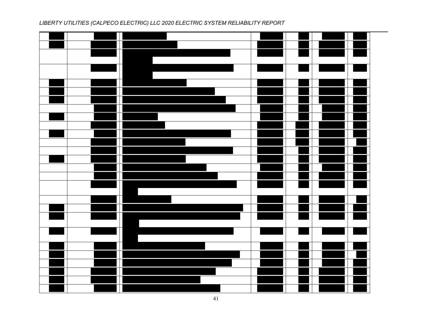41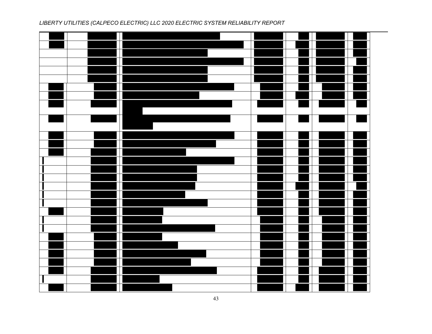20926 12/10/2018 RUNNING NEW WIRE FOR CONVERSION 12/12/2018 9:00 12/12/2018 16:10 20931 12/10/2018 REPLACED FAULTY COMPONENTS IN VAULT TS-28 12/12/2018 20:32 12/12/2018 21:45 12/10/2018 REPLACE XFMRS FOR CONVERSION 12/18/2018 9:00 12/18/2018 13:40 12/18/2018 ENERGIZE REPAIRED CABLE, RETURN TO NORMAL 12/20/2018 9:00 12/20/2018 9:45 12/19/2018 REPLACE XFMRS FOR CONVERSION 12/20/2018 9:00 12/20/2018 12:00 12/26/2018 REPLACE XFMRS FOR CONVERSION 12/28/2018 9:00 12/28/2018 12:50 21174 1/3/2019 INSTALL CROSSARM AND TRANSFER PRIMARY 1/4/2019 9:00 1/4/2019 12:00 21299 1/8/2019 REPAIR CRACKED C/O P 240912 1/9/2019 22:14 1/9/2019 23:42 23010 3/19/2019 RE-ENERGIZING SIERRA HOUSE ELEMENTARY 3/21/2019 9:00 3/21/2019 9:30 23022 3/20/2019 NVE PLANNED OUTAGE - PREP TO CONNECT 3/22/2019 8:05 3/22/2019 8:22 23158 4/8/2019 ADD XFMR, REPLACE OPEN WIRE SECONDARY 4/10/2019 8:00 4/10/2019 13:09 23160 4/9/2019 POLE SET AND REPLACE SERVICE WIRE 4/11/2019 9:00 4/11/2019 14:15 23182 4/10/2019 REPLACING SERVICE WIRE 4/12/2019 9:00 4/12/2019 13:00 4/10/2019 ADD XFMR, REPLACE OPEN WIRE SECONDARY 4/16/2019 9:00 4/16/2019 14:00 4/15/2019 NEW XFMRS AND SECONDARY 4/18/2019 8:00 4/18/2019 16:00 4/15/2019 NEW XFMRS AND SECONDARY 4/17/2019 9:00 4/17/2019 13:45 4/16/2019 CHANGE OUT POLE NEAR I-80 4/18/2019 22:00 4/19/2019 4:00 4/15/2019 RE-ROUTING SECONDARY 4/19/2019 9:00 4/19/2019 15:00 4/19/2019 INSTALL NEW XFMR AND PRIMARY 4/24/2019 9:00 4/24/2019 15:00 23406 4/18/2019 TREE REMOVALS 4/25/2019 8:00 4/25/2019 17:00 4/29/2019 XFMR UPGRADE 5/1/2019 9:00 5/1/2019 12:15 4/29/2019 POLE REPLACEMENT, XFMR UPGRADE 5/2/2019 8:00 5/2/2019 13:11 23429 5/6/2019 UPGRADE XFMR 5/7/2019 9:00 5/7/2019 10:30 23430 5/6/2019 UPGRADE SECONDARY 5/8/2019 8:00 5/8/2019 12:30 23434 5/7/2019 CRANE WORKING OVER THE LINES 5/9/2019 7:00 5/9/2019 18:05 23435 5/6/2019 UPGRADE MULTIPLE XFMRS 5/9/2019 9:00 5/9/2019 13:30 23443 5/10/2019 UPGRADE XFMR, RPELACE 2/0 TRIPLEX 5/14/2019 9:00 5/14/2019 15:10 5/13/2019 REPLACE XFMR 5/16/2019 8:00 5/16/2019 18:00 23456 5/17/2019 REPLACE P # 275579 5/20/2019 10:27 5/20/2019 15:30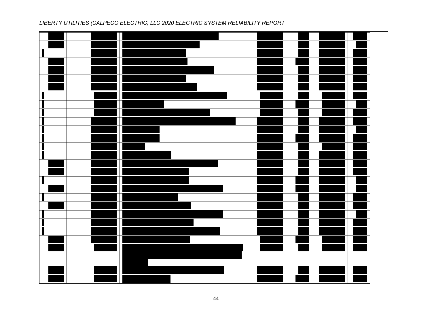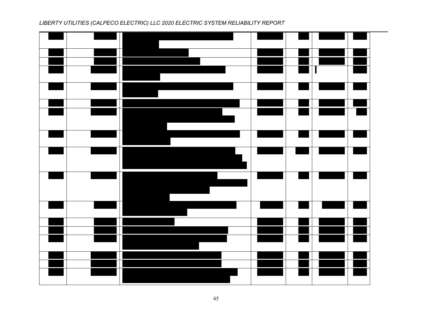23735 7/2/2019 Wrecking out open wire and hanging new 7/11/2019 8:00 7/11/2019 14:05 23736 7/3/2019 Pole and transformer set 7/11/2019 8:30 7/11/2019 15:44 23749 7/3/2019 Planned outage to replace pole. 7/12/2019 8:20 7/12/2019 13:50 23766 7/11/2019 PLANNED OUTAGE TO REPLACE POLE AND 7/15/2019 8:13 14:52 23771 7/11/2019 Crew to take an outage to install new Verizon 7/16/2019 8:42 7/16/2019 13:41 23796 7/16/2019 Dead ending primary and making up 2 risers 7/19/2019 8:00 7/19/2019 13:20 23803 7/19/2019 Crew replacing cut-outs at P #9470 Work completed by PAR crew.Alll customers back in 7/22/2019 7:30 7/22/2019 8:35 23815 7/22/2019 INSTALLED TRANSFORMERS /PLANNED OUTAGE 7/26/2019 8:00 7/26/2019 16:00